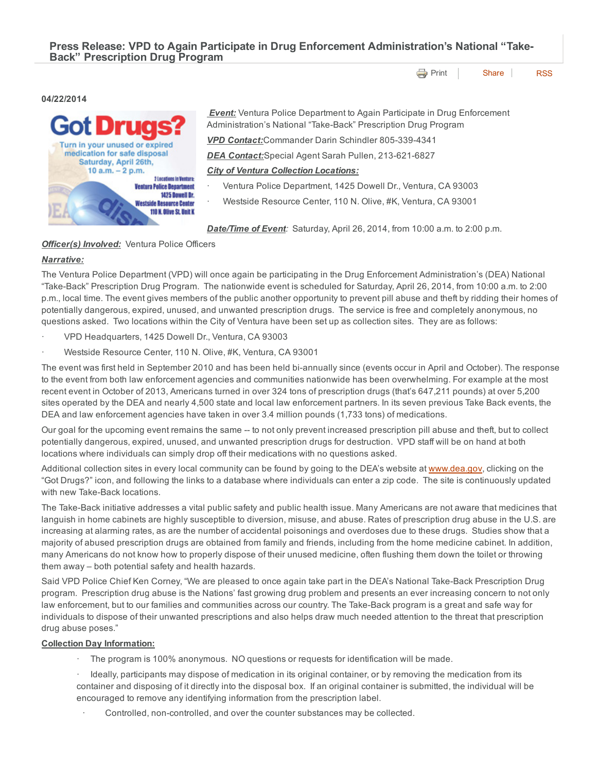Press Release: VPD to Again Participate in Drug Enforcement Administration's National "Take-Back" Prescription Drug Program

**[Print](http://www.cityofventura.net/print/15740) [Share](javascript:void(0)) [RSS](http://www.cityofventura.net/feed/press_release/rss.xml)** 

## 04/22/2014



*Event:* Ventura Police Department to Again Participate in Drug Enforcement Administration's National "Take-Back" Prescription Drug Program *VPD Contact:*Commander Darin Schindler 8053394341

**DEA Contact:**Special Agent Sarah Pullen, 213-621-6827

*City of Ventura Collection Locations:*

- · Ventura Police Department, 1425 Dowell Dr., Ventura, CA 93003
- Westside Resource Center, 110 N. Olive, #K, Ventura, CA 93001

*Date/Time of Event:* Saturday, April 26, 2014, from 10:00 a.m. to 2:00 p.m.

# *Officer(s) Involved:* Ventura Police Officers

# *Narrative:*

The Ventura Police Department (VPD) will once again be participating in the Drug Enforcement Administration's (DEA) National "Take-Back" Prescription Drug Program. The nationwide event is scheduled for Saturday, April 26, 2014, from 10:00 a.m. to 2:00 p.m., local time. The event gives members of the public another opportunity to prevent pill abuse and theft by ridding their homes of potentially dangerous, expired, unused, and unwanted prescription drugs. The service is free and completely anonymous, no questions asked. Two locations within the City of Ventura have been set up as collection sites. They are as follows:

- · VPD Headquarters, 1425 Dowell Dr., Ventura, CA 93003
- Westside Resource Center, 110 N. Olive, #K, Ventura, CA 93001

The event was first held in September 2010 and has been held bi-annually since (events occur in April and October). The response to the event from both law enforcement agencies and communities nationwide has been overwhelming. For example at the most recent event in October of 2013, Americans turned in over 324 tons of prescription drugs (that's 647,211 pounds) at over 5,200 sites operated by the DEA and nearly 4,500 state and local law enforcement partners. In its seven previous Take Back events, the DEA and law enforcement agencies have taken in over 3.4 million pounds (1,733 tons) of medications.

Our goal for the upcoming event remains the same -- to not only prevent increased prescription pill abuse and theft, but to collect potentially dangerous, expired, unused, and unwanted prescription drugs for destruction. VPD staff will be on hand at both locations where individuals can simply drop off their medications with no questions asked.

Additional collection sites in every local community can be found by going to the DEA's website at [www.dea.gov,](http://www.dea.gov/) clicking on the "Got Drugs?" icon, and following the links to a database where individuals can enter a zip code. The site is continuously updated with new Take-Back locations.

The Take-Back initiative addresses a vital public safety and public health issue. Many Americans are not aware that medicines that languish in home cabinets are highly susceptible to diversion, misuse, and abuse. Rates of prescription drug abuse in the U.S. are increasing at alarming rates, as are the number of accidental poisonings and overdoses due to these drugs. Studies show that a majority of abused prescription drugs are obtained from family and friends, including from the home medicine cabinet. In addition, many Americans do not know how to properly dispose of their unused medicine, often flushing them down the toilet or throwing them away – both potential safety and health hazards.

Said VPD Police Chief Ken Corney, "We are pleased to once again take part in the DEA's National Take-Back Prescription Drug program. Prescription drug abuse is the Nations' fast growing drug problem and presents an ever increasing concern to not only law enforcement, but to our families and communities across our country. The Take-Back program is a great and safe way for individuals to dispose of their unwanted prescriptions and also helps draw much needed attention to the threat that prescription drug abuse poses."

## Collection Day Information:

- · The program is 100% anonymous. NO questions or requests for identification will be made.
- · Ideally, participants may dispose of medication in its original container, or by removing the medication from its container and disposing of it directly into the disposal box. If an original container is submitted, the individual will be encouraged to remove any identifying information from the prescription label.
	- Controlled, non-controlled, and over the counter substances may be collected.